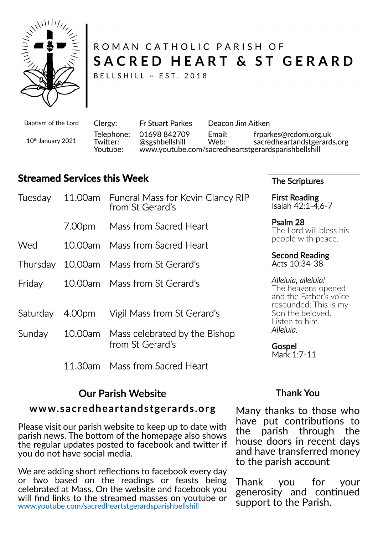

# ROMAN CATHOLIC PARISH OF SACRED HEART & ST GERARD

BELLSHILL ~ EST. 2018

Baptism of the Lord

10th January 2021

Clergy: Fr Stuart Parkes Deacon Jim Aitken Telephone: 01698 842709 Email: frparkes@rcdom.org.uk Twitter: @sgshbellshill Web: sacredheartandstgerards.org<br>Youtube: www.youtube.com/sacredheartstgerardsparishbellshill Youtube: www.youtube.com/sacredheartstgerardsparishbellshill

# **Streamed Services this Week**

|        | Tuesday 11.00am Funeral Mass for Kevin Clancy RIP<br>from St Gerard's |
|--------|-----------------------------------------------------------------------|
|        | 7.00pm Mass from Sacred Heart                                         |
| Wed    | 10.00am Mass from Sacred Heart                                        |
|        | Thursday 10.00am Mass from St Gerard's                                |
| Friday | 10.00am Mass from St Gerard's                                         |
|        | Saturday 4.00pm Vigil Mass from St Gerard's                           |
|        | Sunday 10.00am Mass celebrated by the Bishop<br>from St Gerard's      |
|        | 11.30am Mass from Sacred Heart                                        |

# **Our Parish Website**

### www.sacredheartandstgerards.org

Please visit our parish website to keep up to date with parish news. The bottom of the homepage also shows the regular updates posted to facebook and twi�er if you do not have social media.

We are adding short reflections to facebook every day or two based on the readings or feasts being celebrated at Mass. On the website and facebook you will find links to the streamed masses on youtube or www.youtube.com/sacredheartstgerardsparishbellshill

The Scriptures

First Reading Isaiah 42:1-4,6-7

Psalm 28 The Lord will bless his people with peace.

Second Reading Acts 10:34-38

*Alleluia, alleluia!* The heavens opened and the Father's voice resounded: This is my Son the beloved. Listen to him. *Alleluia.*

Gospel Mark 1:7-11

## **Thank You**

Many thanks to those who have put contributions to<br>the parish through the parish through the house doors in recent days and have transferred money to the parish account

Thank you for your generosity and continued support to the Parish.